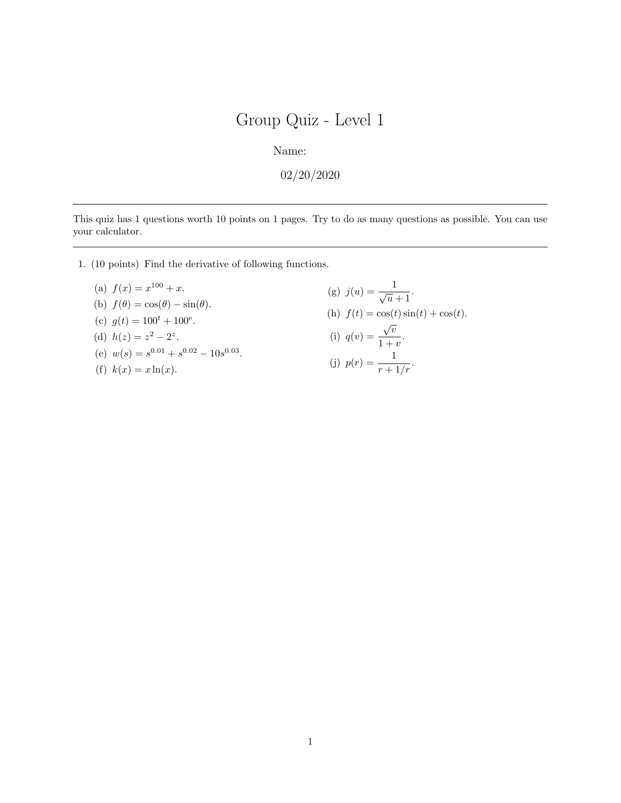Name:

02/20/2020

This quiz has 1 questions worth 10 points on 1 pages. Try to do as many questions as possible. You can use your calculator.

- 1. (10 points) Find the derivative of following functions.
	- (a)  $f(x) = x^{100} + x$ . (b)  $f(\theta) = \cos(\theta) - \sin(\theta)$ . (c)  $g(t) = 100^t + 100^e$ . (d)  $h(z) = z^2 - 2^z$ . (e)  $w(s) = s^{0.01} + s^{0.02} - 10s^{0.03}$ . (f)  $k(x) = x \ln(x)$ .

(g) 
$$
j(u) = \frac{1}{\sqrt{u} + 1}.
$$
  
\n(h) 
$$
f(t) = \cos(t)\sin(t) + \cos(t).
$$
  
\n(i) 
$$
q(v) = \frac{\sqrt{v}}{1 + v}.
$$
  
\n(j) 
$$
p(r) = \frac{1}{r + 1/r}.
$$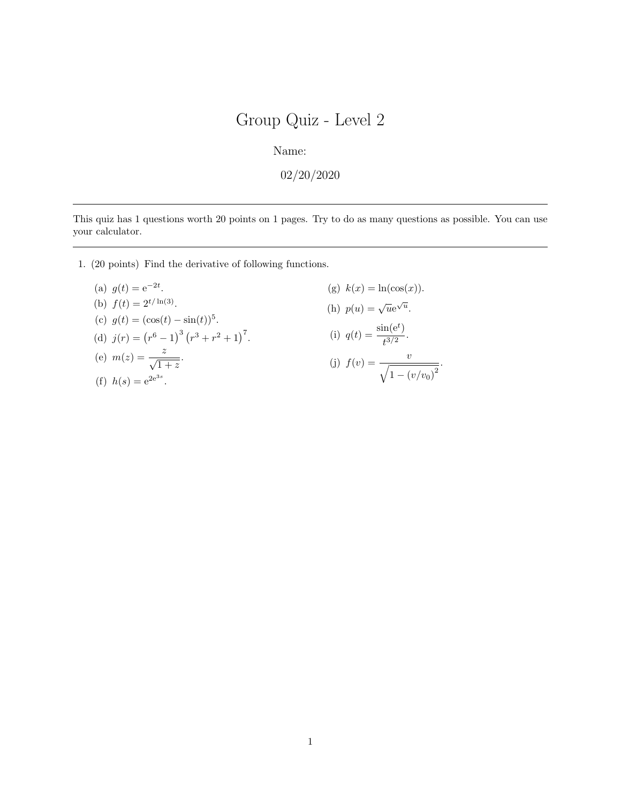Name:

 $02/20/2020$ 

This quiz has 1 questions worth 20 points on 1 pages. Try to do as many questions as possible. You can use your calculator.

1. (20 points) Find the derivative of following functions.

(a) 
$$
g(t) = e^{-2t}
$$
.  
\n(b)  $f(t) = 2^{t/\ln(3)}$ .  
\n(c)  $g(t) = (\cos(t) - \sin(t))^5$ .  
\n(d)  $j(r) = (r^6 - 1)^3 (r^3 + r^2 + 1)^7$ .  
\n(e)  $m(z) = \frac{z}{\sqrt{1+z}}$ .  
\n(f)  $h(s) = e^{2e^{3s}}$ .

(g) 
$$
k(x) = \ln(\cos(x)).
$$

(h) 
$$
p(u) = \sqrt{u}e^{\sqrt{u}}
$$
.

(i) 
$$
q(t) = \frac{\sin(e^t)}{t^{3/2}}
$$
.

(j) 
$$
f(v) = \frac{v}{\sqrt{1 - (v/v_0)^2}}
$$
.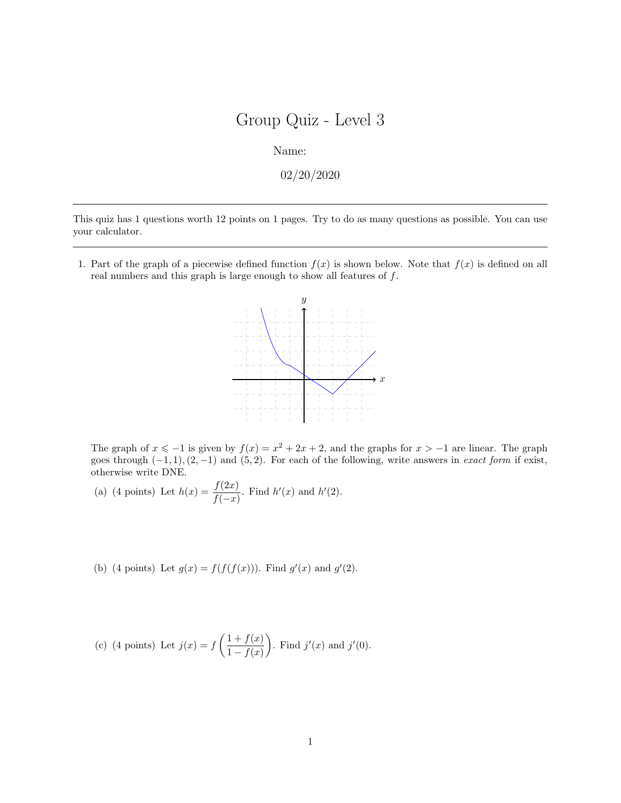Name:

02/20/2020

This quiz has 1 questions worth 12 points on 1 pages. Try to do as many questions as possible. You can use your calculator.

1. Part of the graph of a piecewise defined function  $f(x)$  is shown below. Note that  $f(x)$  is defined on all real numbers and this graph is large enough to show all features of f.



The graph of  $x \le -1$  is given by  $f(x) = x^2 + 2x + 2$ , and the graphs for  $x > -1$  are linear. The graph goes through  $(-1, 1)$ ,  $(2, -1)$  and  $(5, 2)$ . For each of the following, write answers in *exact form* if exist, otherwise write DNE.

- (a) (4 points) Let  $h(x) = \frac{f(2x)}{f(-x)}$ . Find  $h'(x)$  and  $h'(2)$ .
- (b) (4 points) Let  $g(x) = f(f(f(x)))$ . Find  $g'(x)$  and  $g'(2)$ .

(c) (4 points) Let 
$$
j(x) = f\left(\frac{1+f(x)}{1-f(x)}\right)
$$
. Find  $j'(x)$  and  $j'(0)$ .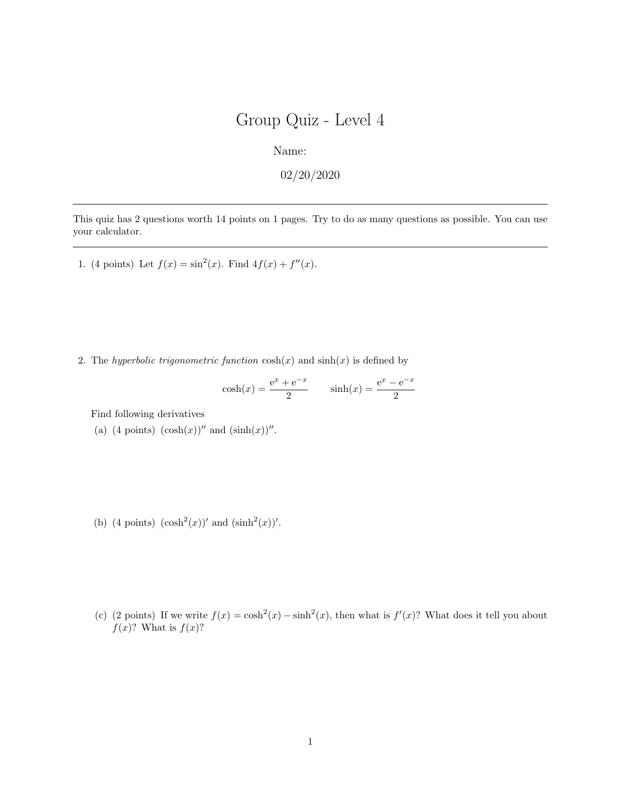Name:

 $02/20/2020$ 

This quiz has 2 questions worth 14 points on 1 pages. Try to do as many questions as possible. You can use your calculator.

1. (4 points) Let  $f(x) = \sin^2(x)$ . Find  $4f(x) + f''(x)$ .

2. The hyperbolic trigonometric function  $\cosh(x)$  and  $\sinh(x)$  is defined by

$$
cosh(x) = \frac{e^x + e^{-x}}{2}
$$
  $sinh(x) = \frac{e^x - e^{-x}}{2}$ 

Find following derivatives

- (a) (4 points)  $(\cosh(x))''$  and  $(\sinh(x))''$ .
- (b) (4 points)  $(\cosh^2(x))'$  and  $(\sinh^2(x))'$ .
- (c) (2 points) If we write  $f(x) = \cosh^2(x) \sinh^2(x)$ , then what is  $f'(x)$ ? What does it tell you about  $f(x)$ ? What is  $f(x)$ ?